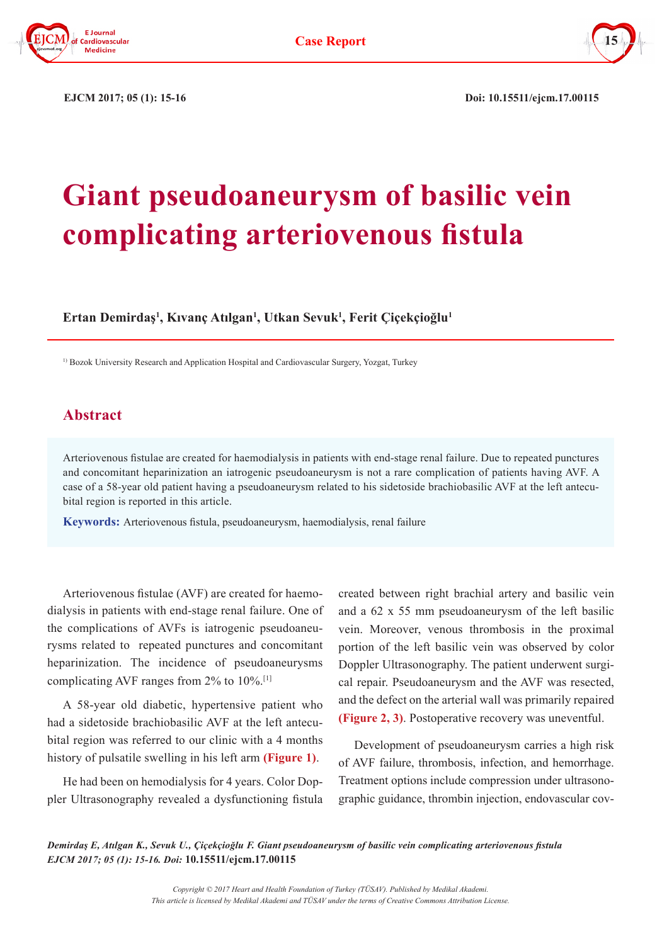



**EJCM 2017; 05 (1): 15-16 Doi: 10.15511/ejcm.17.00115** 

## **Giant pseudoaneurysm of basilic vein complicating arteriovenous fistula**

**Ertan Demirdaş<sup>1</sup> , Kıvanç Atılgan<sup>1</sup> , Utkan Sevuk1 , Ferit Çiçekçioğlu<sup>1</sup>**

<sup>1)</sup> Bozok University Research and Application Hospital and Cardiovascular Surgery, Yozgat, Turkey

## **Abstract**

Arteriovenous fistulae are created for haemodialysis in patients with end-stage renal failure. Due to repeated punctures and concomitant heparinization an iatrogenic pseudoaneurysm is not a rare complication of patients having AVF. A case of a 58-year old patient having a pseudoaneurysm related to his sidetoside brachiobasilic AVF at the left antecubital region is reported in this article.

**Keywords:** Arteriovenous fistula, pseudoaneurysm, haemodialysis, renal failure

Arteriovenous fistulae (AVF) are created for haemodialysis in patients with end-stage renal failure. One of the complications of AVFs is iatrogenic pseudoaneurysms related to repeated punctures and concomitant heparinization. The incidence of pseudoaneurysms complicating AVF ranges from 2% to 10%.[1]

A 58-year old diabetic, hypertensive patient who had a sidetoside brachiobasilic AVF at the left antecubital region was referred to our clinic with a 4 months history of pulsatile swelling in his left arm **(Figure 1)**.

He had been on hemodialysis for 4 years. Color Doppler Ultrasonography revealed a dysfunctioning fistula created between right brachial artery and basilic vein and a 62 x 55 mm pseudoaneurysm of the left basilic vein. Moreover, venous thrombosis in the proximal portion of the left basilic vein was observed by color Doppler Ultrasonography. The patient underwent surgical repair. Pseudoaneurysm and the AVF was resected, and the defect on the arterial wall was primarily repaired **(Figure 2, 3)**. Postoperative recovery was uneventful.

Development of pseudoaneurysm carries a high risk of AVF failure, thrombosis, infection, and hemorrhage. Treatment options include compression under ultrasonographic guidance, thrombin injection, endovascular cov-

*Demirdaş E, Atılgan K., Sevuk U., Çiçekçioğlu F. Giant pseudoaneurysm of basilic vein complicating arteriovenous fistula EJCM 2017; 05 (1): 15-16. Doi:* **10.15511/ejcm.17.00115**